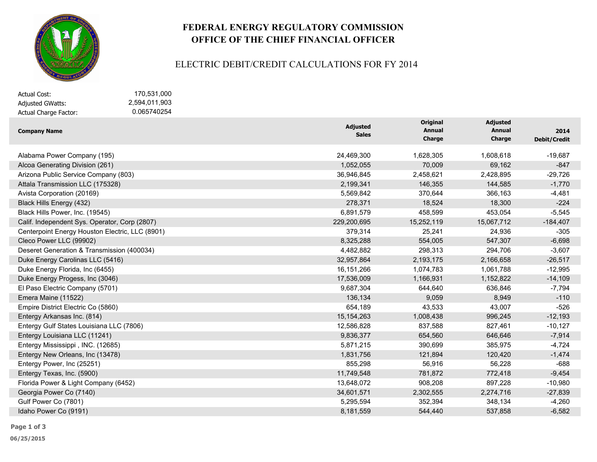

## **FEDERAL ENERGY REGULATORY COMMISSION OFFICE OF THE CHIEF FINANCIAL OFFICER**

#### ELECTRIC DEBIT/CREDIT CALCULATIONS FOR FY 2014

Adjusted GWatts: Actual Charge Factor: Actual Cost: 170,531,000

 2,594,011,903 0.065740254

| <b>Company Name</b>                             | <b>Adjusted</b><br><b>Sales</b> | Original<br><b>Annual</b><br><b>Charge</b> | <b>Adjusted</b><br><b>Annual</b><br>Charge | 2014<br><b>Debit/Credit</b> |
|-------------------------------------------------|---------------------------------|--------------------------------------------|--------------------------------------------|-----------------------------|
| Alabama Power Company (195)                     | 24,469,300                      | 1,628,305                                  | 1,608,618                                  | $-19,687$                   |
| Alcoa Generating Division (261)                 | 1,052,055                       | 70,009                                     | 69,162                                     | $-847$                      |
| Arizona Public Service Company (803)            | 36,946,845                      | 2,458,621                                  | 2,428,895                                  | $-29,726$                   |
| Attala Transmission LLC (175328)                | 2,199,341                       | 146,355                                    | 144,585                                    | $-1,770$                    |
| Avista Corporation (20169)                      | 5,569,842                       | 370,644                                    | 366,163                                    | $-4,481$                    |
| Black Hills Energy (432)                        | 278,371                         | 18,524                                     | 18,300                                     | $-224$                      |
| Black Hills Power, Inc. (19545)                 | 6,891,579                       | 458,599                                    | 453,054                                    | $-5,545$                    |
| Calif. Independent Sys. Operator, Corp (2807)   | 229,200,695                     | 15,252,119                                 | 15,067,712                                 | $-184,407$                  |
| Centerpoint Energy Houston Electric, LLC (8901) | 379,314                         | 25,241                                     | 24,936                                     | $-305$                      |
| Cleco Power LLC (99902)                         | 8,325,288                       | 554,005                                    | 547,307                                    | $-6,698$                    |
| Deseret Generation & Transmission (400034)      | 4,482,882                       | 298,313                                    | 294,706                                    | $-3,607$                    |
| Duke Energy Carolinas LLC (5416)                | 32,957,864                      | 2,193,175                                  | 2,166,658                                  | $-26,517$                   |
| Duke Energy Florida, Inc (6455)                 | 16,151,266                      | 1,074,783                                  | 1,061,788                                  | $-12,995$                   |
| Duke Energy Progess, Inc (3046)                 | 17,536,009                      | 1,166,931                                  | 1,152,822                                  | $-14,109$                   |
| El Paso Electric Company (5701)                 | 9,687,304                       | 644,640                                    | 636,846                                    | $-7,794$                    |
| Emera Maine (11522)                             | 136,134                         | 9,059                                      | 8,949                                      | $-110$                      |
| Empire District Electric Co (5860)              | 654,189                         | 43,533                                     | 43,007                                     | $-526$                      |
| Entergy Arkansas Inc. (814)                     | 15, 154, 263                    | 1,008,438                                  | 996,245                                    | $-12,193$                   |
| Entergy Gulf States Louisiana LLC (7806)        | 12,586,828                      | 837,588                                    | 827,461                                    | $-10,127$                   |
| Entergy Louisiana LLC (11241)                   | 9,836,377                       | 654,560                                    | 646,646                                    | $-7,914$                    |
| Entergy Mississippi, INC. (12685)               | 5,871,215                       | 390,699                                    | 385,975                                    | $-4,724$                    |
| Entergy New Orleans, Inc (13478)                | 1,831,756                       | 121,894                                    | 120,420                                    | $-1,474$                    |
| Entergy Power, Inc (25251)                      | 855,298                         | 56,916                                     | 56,228                                     | $-688$                      |
| Entergy Texas, Inc. (5900)                      | 11,749,548                      | 781,872                                    | 772,418                                    | $-9,454$                    |
| Florida Power & Light Company (6452)            | 13,648,072                      | 908,208                                    | 897,228                                    | $-10,980$                   |
| Georgia Power Co (7140)                         | 34,601,571                      | 2,302,555                                  | 2,274,716                                  | $-27,839$                   |
| Gulf Power Co (7801)                            | 5,295,594                       | 352,394                                    | 348,134                                    | $-4,260$                    |
| Idaho Power Co (9191)                           | 8,181,559                       | 544,440                                    | 537,858                                    | $-6,582$                    |

**Page 1 of 3**

**06/25/2015**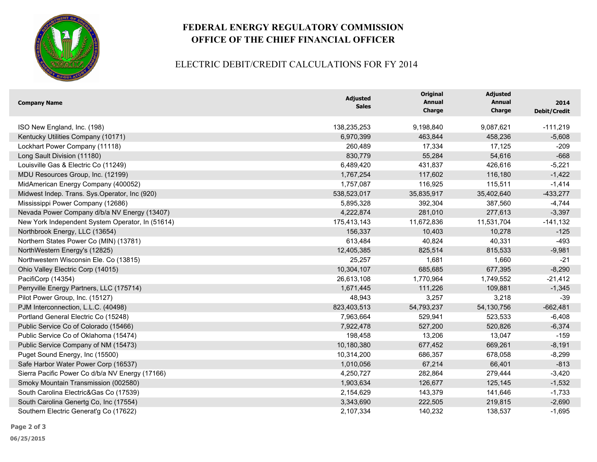

## **FEDERAL ENERGY REGULATORY COMMISSION OFFICE OF THE CHIEF FINANCIAL OFFICER**

### ELECTRIC DEBIT/CREDIT CALCULATIONS FOR FY 2014

| <b>Company Name</b>                              | <b>Adjusted</b><br><b>Sales</b> | <b>Original</b><br><b>Annual</b><br><b>Charge</b> | <b>Adjusted</b><br>Annual<br>Charge | 2014<br><b>Debit/Credit</b> |
|--------------------------------------------------|---------------------------------|---------------------------------------------------|-------------------------------------|-----------------------------|
| ISO New England, Inc. (198)                      | 138,235,253                     | 9,198,840                                         | 9,087,621                           | $-111,219$                  |
| Kentucky Utilities Company (10171)               | 6,970,399                       | 463,844                                           | 458,236                             | $-5,608$                    |
| Lockhart Power Company (11118)                   | 260,489                         | 17,334                                            | 17,125                              | $-209$                      |
| Long Sault Division (11180)                      | 830,779                         | 55,284                                            | 54,616                              | $-668$                      |
| Louisville Gas & Electric Co (11249)             | 6,489,420                       | 431,837                                           | 426,616                             | $-5,221$                    |
| MDU Resources Group, Inc. (12199)                | 1,767,254                       | 117,602                                           | 116,180                             | $-1,422$                    |
| MidAmerican Energy Company (400052)              | 1,757,087                       | 116,925                                           | 115,511                             | $-1,414$                    |
| Midwest Indep. Trans. Sys.Operator, Inc (920)    | 538,523,017                     | 35,835,917                                        | 35,402,640                          | $-433,277$                  |
| Mississippi Power Company (12686)                | 5,895,328                       | 392,304                                           | 387,560                             | $-4,744$                    |
| Nevada Power Company d/b/a NV Energy (13407)     | 4,222,874                       | 281,010                                           | 277,613                             | $-3,397$                    |
| New York Independent System Operator, In (51614) | 175,413,143                     | 11,672,836                                        | 11,531,704                          | $-141,132$                  |
| Northbrook Energy, LLC (13654)                   | 156,337                         | 10,403                                            | 10,278                              | $-125$                      |
| Northern States Power Co (MIN) (13781)           | 613,484                         | 40,824                                            | 40,331                              | $-493$                      |
| NorthWestern Energy's (12825)                    | 12,405,385                      | 825,514                                           | 815,533                             | $-9,981$                    |
| Northwestern Wisconsin Ele. Co (13815)           | 25,257                          | 1,681                                             | 1,660                               | $-21$                       |
| Ohio Valley Electric Corp (14015)                | 10,304,107                      | 685,685                                           | 677,395                             | $-8,290$                    |
| PacifiCorp (14354)                               | 26,613,108                      | 1,770,964                                         | 1,749,552                           | $-21,412$                   |
| Perryville Energy Partners, LLC (175714)         | 1,671,445                       | 111,226                                           | 109,881                             | $-1,345$                    |
| Pilot Power Group, Inc. (15127)                  | 48,943                          | 3,257                                             | 3,218                               | $-39$                       |
| PJM Interconnection, L.L.C. (40498)              | 823,403,513                     | 54,793,237                                        | 54,130,756                          | $-662,481$                  |
| Portland General Electric Co (15248)             | 7,963,664                       | 529,941                                           | 523,533                             | $-6,408$                    |
| Public Service Co of Colorado (15466)            | 7,922,478                       | 527,200                                           | 520,826                             | $-6,374$                    |
| Public Service Co of Oklahoma (15474)            | 198,458                         | 13,206                                            | 13,047                              | $-159$                      |
| Public Service Company of NM (15473)             | 10,180,380                      | 677,452                                           | 669,261                             | $-8,191$                    |
| Puget Sound Energy, Inc (15500)                  | 10,314,200                      | 686,357                                           | 678,058                             | $-8,299$                    |
| Safe Harbor Water Power Corp (16537)             | 1,010,056                       | 67,214                                            | 66,401                              | $-813$                      |
| Sierra Pacific Power Co d/b/a NV Energy (17166)  | 4,250,727                       | 282,864                                           | 279,444                             | $-3,420$                    |
| Smoky Mountain Transmission (002580)             | 1,903,634                       | 126,677                                           | 125,145                             | $-1,532$                    |
| South Carolina Electric&Gas Co (17539)           | 2,154,629                       | 143,379                                           | 141,646                             | $-1,733$                    |
| South Carolina Genertg Co, Inc (17554)           | 3,343,690                       | 222,505                                           | 219,815                             | $-2,690$                    |
| Southern Electric Generat'g Co (17622)           | 2,107,334                       | 140,232                                           | 138,537                             | $-1,695$                    |

**Page 2 of 3**

**06/25/2015**